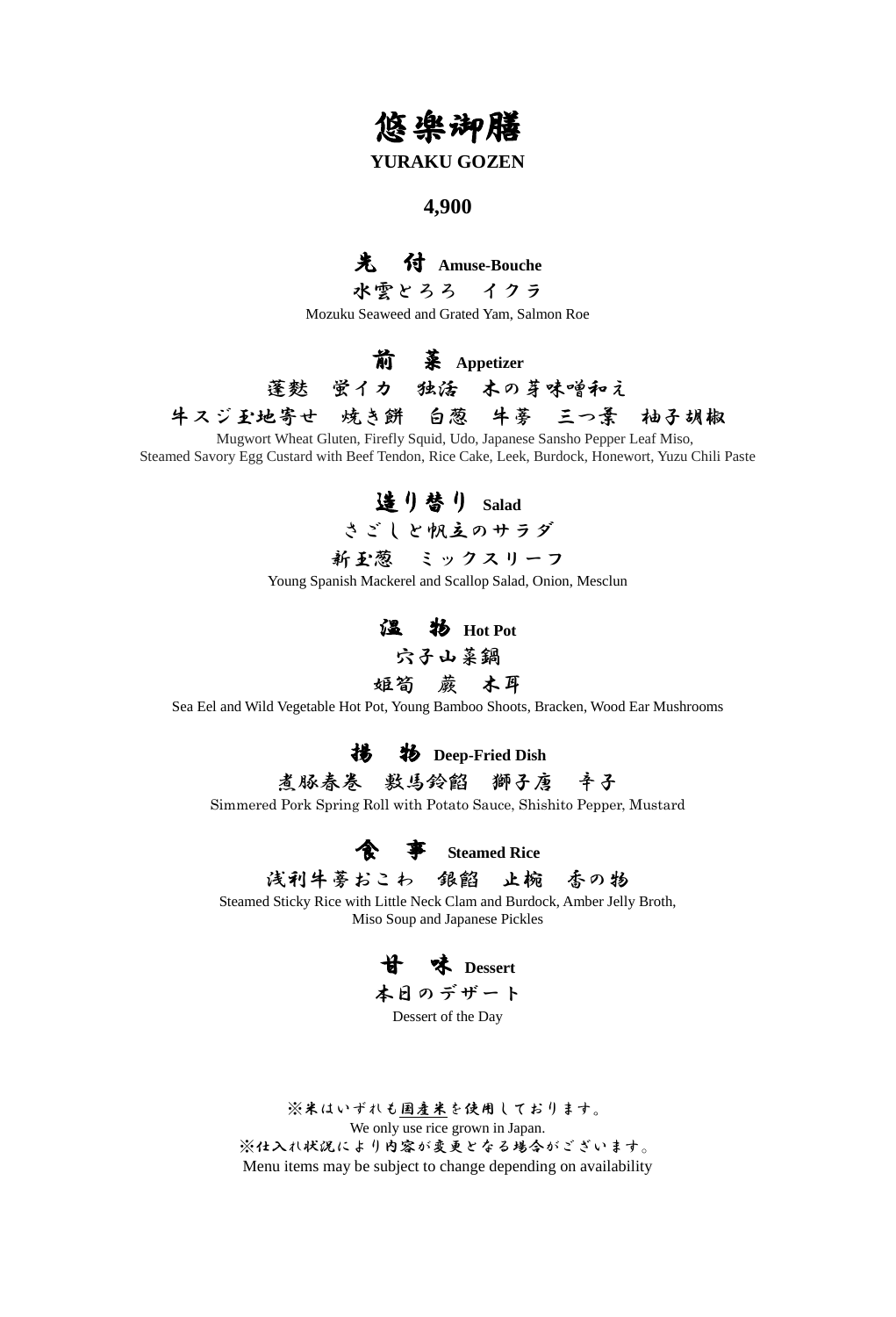## 悠楽御膳

#### **YURAKU GOZEN**

#### **4,900**

## 先 付 **Amuse-Bouche**

水雲とろろ イクラ

Mozuku Seaweed and Grated Yam, Salmon Roe

前 菜 **Appetizer**

蓬麩 蛍イカ 独活 木の芽味噌和え 牛スジ玉地寄せ 焼き餅 白葱 牛蒡 三つ葉 柚子胡椒

Mugwort Wheat Gluten, Firefly Squid, Udo, Japanese Sansho Pepper Leaf Miso, Steamed Savory Egg Custard with Beef Tendon, Rice Cake, Leek, Burdock, Honewort, Yuzu Chili Paste

造り替り **Salad**



新玉葱 ミックスリーフ

Young Spanish Mackerel and Scallop Salad, Onion, Mesclun

温 物 **Hot Pot** 穴子山菜鍋

姫筍 蕨 木耳

Sea Eel and Wild Vegetable Hot Pot, Young Bamboo Shoots, Bracken, Wood Ear Mushrooms

揚 物 **Deep-Fried Dish**

煮豚春卷 敷馬鈴餡 獅子唐 辛子

Simmered Pork Spring Roll with Potato Sauce, Shishito Pepper, Mustard



浅利牛蒡おこわ 銀餡 止椀 香の物

Steamed Sticky Rice with Little Neck Clam and Burdock, Amber Jelly Broth, Miso Soup and Japanese Pickles



Dessert of the Day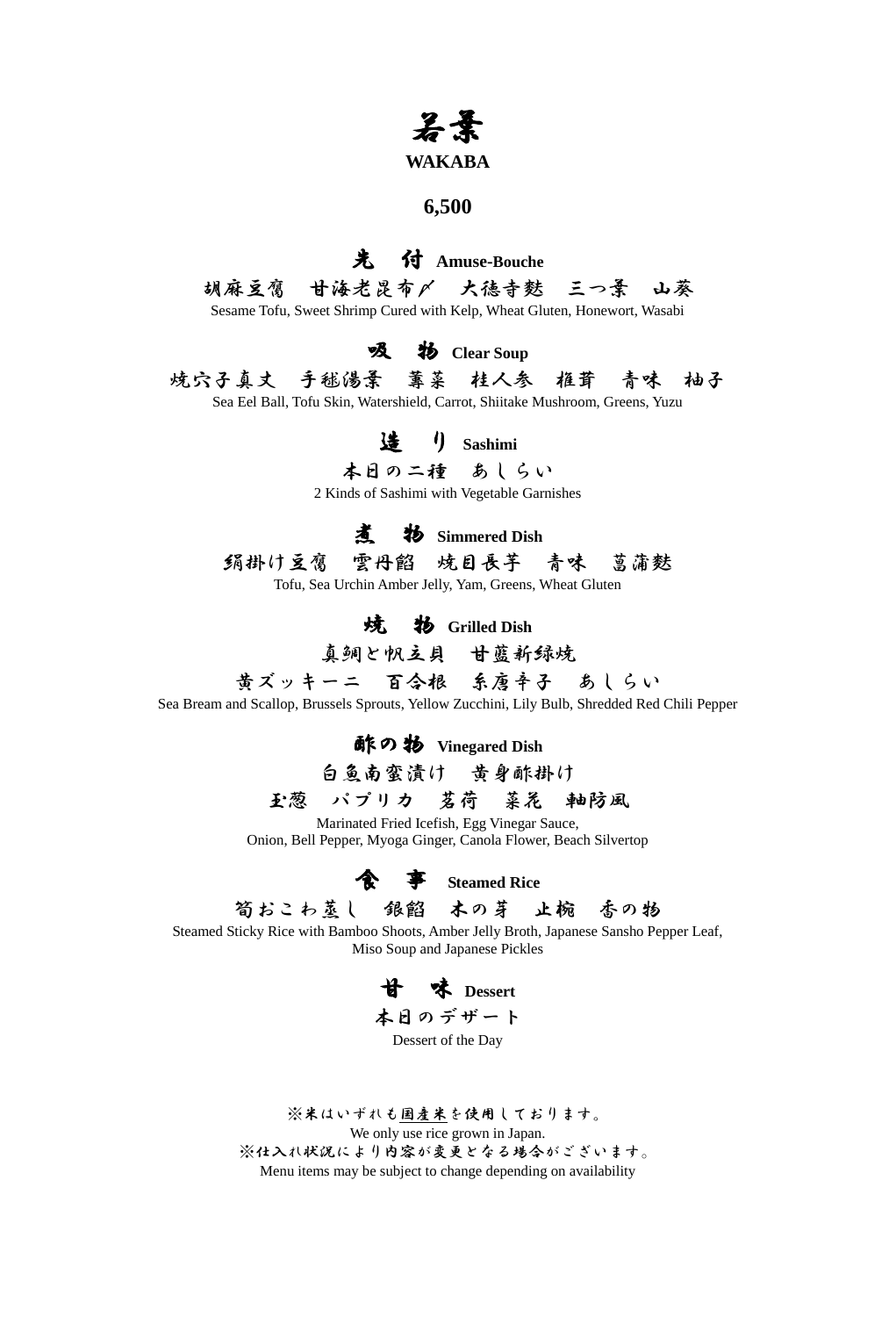# 若葉

#### **WAKABA**

#### **6,500**

## 先 付 **Amuse-Bouche**

胡麻豆腐 甘海老昆布〆 大徳寺麩 三つ葉 山葵

Sesame Tofu, Sweet Shrimp Cured with Kelp, Wheat Gluten, Honewort, Wasabi

#### **吸 物** Clear Soup

焼穴子真丈 手毬湯葉 蓴菜 桂人参 椎茸 青味 柚子 Sea Eel Ball, Tofu Skin, Watershield, Carrot, Shiitake Mushroom, Greens, Yuzu

## 造 り **Sashimi**

本日の二種 あしらい

2 Kinds of Sashimi with Vegetable Garnishes

## 煮 物 **Simmered Dish**

絹掛け豆腐 雲丹餡 焼目長芋 青味 菖蒲麩

Tofu, Sea Urchin Amber Jelly, Yam, Greens, Wheat Gluten

#### 焼 物 **Grilled Dish**

真鯛と帆立貝 甘藍新緑焼

黄ズッキーニ 百合根 系唐辛子 あしらい

Sea Bream and Scallop, Brussels Sprouts, Yellow Zucchini, Lily Bulb, Shredded Red Chili Pepper

酢の物 **Vinegared Dish**

白魚南蛮漬け 黄身酢掛け

玉葱 パプリカ 茗荷 菜花 軸防風

Marinated Fried Icefish, Egg Vinegar Sauce, Onion, Bell Pepper, Myoga Ginger, Canola Flower, Beach Silvertop



筍おこわ蒸し 銀餡 木の芽 止椀 香の物

Steamed Sticky Rice with Bamboo Shoots, Amber Jelly Broth, Japanese Sansho Pepper Leaf, Miso Soup and Japanese Pickles

甘 味 **Dessert** 本日のデザート Dessert of the Day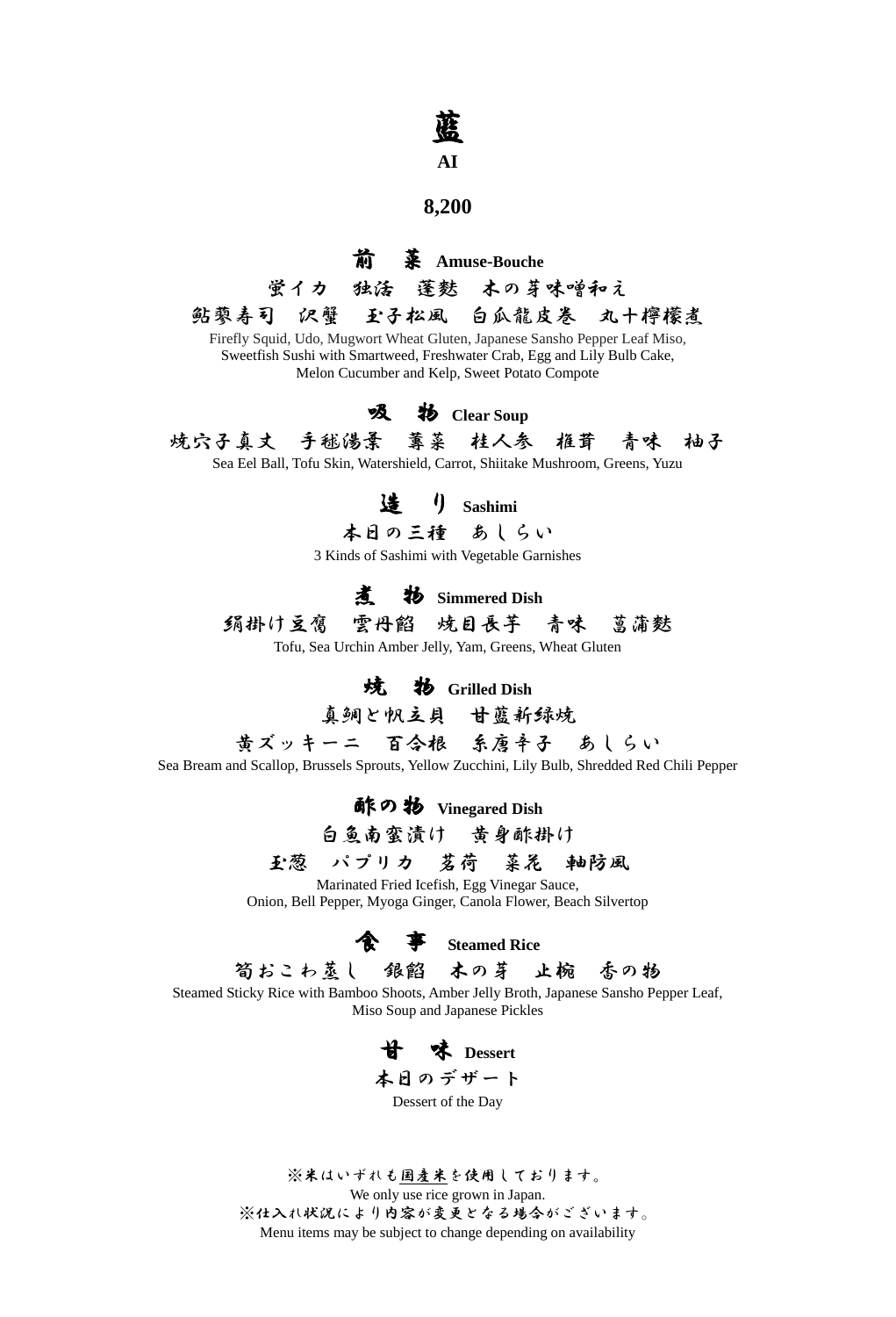# 藍

## **AI**

#### **8,200**

#### 前 菜 **Amuse-Bouche**

蛍イカ 独活 蓬麩 木の芽味噌和え

鮎蓼寿司 沢蟹 玉子松風 白瓜龍皮巻 丸十檸檬煮 Firefly Squid, Udo, Mugwort Wheat Gluten, Japanese Sansho Pepper Leaf Miso, Sweetfish Sushi with Smartweed, Freshwater Crab, Egg and Lily Bulb Cake,

Melon Cucumber and Kelp, Sweet Potato Compote

#### 吸 物 **Clear Soup**

焼穴子真丈 手毬湯葉 蓴菜 桂人参 椎茸 青味 柚子

Sea Eel Ball, Tofu Skin, Watershield, Carrot, Shiitake Mushroom, Greens, Yuzu

## 造 り **Sashimi**

本日の三種 あしらい

3 Kinds of Sashimi with Vegetable Garnishes

### 煮 物 **Simmered Dish**

絹掛け豆腐 雲丹餡 焼目長芋 青味 菖蒲麩

Tofu, Sea Urchin Amber Jelly, Yam, Greens, Wheat Gluten

#### 焼 物 **Grilled Dish**

真鯛と帆立貝 甘藍新緑焼

黄ズッキーニ 百合根 糸唐辛子 あしらい

Sea Bream and Scallop, Brussels Sprouts, Yellow Zucchini, Lily Bulb, Shredded Red Chili Pepper

酢の物 **Vinegared Dish**

白魚南蛮漬け 黄身酢掛け

## 玉葱 パプリカ 茗荷 菜花 軸防風

Marinated Fried Icefish, Egg Vinegar Sauce, Onion, Bell Pepper, Myoga Ginger, Canola Flower, Beach Silvertop

食 事 **Steamed Rice**

筍おこわ蒸し 銀餡 木の芽 止椀 香の物

Steamed Sticky Rice with Bamboo Shoots, Amber Jelly Broth, Japanese Sansho Pepper Leaf, Miso Soup and Japanese Pickles

甘 味 **Dessert** 本日のデザート

Dessert of the Day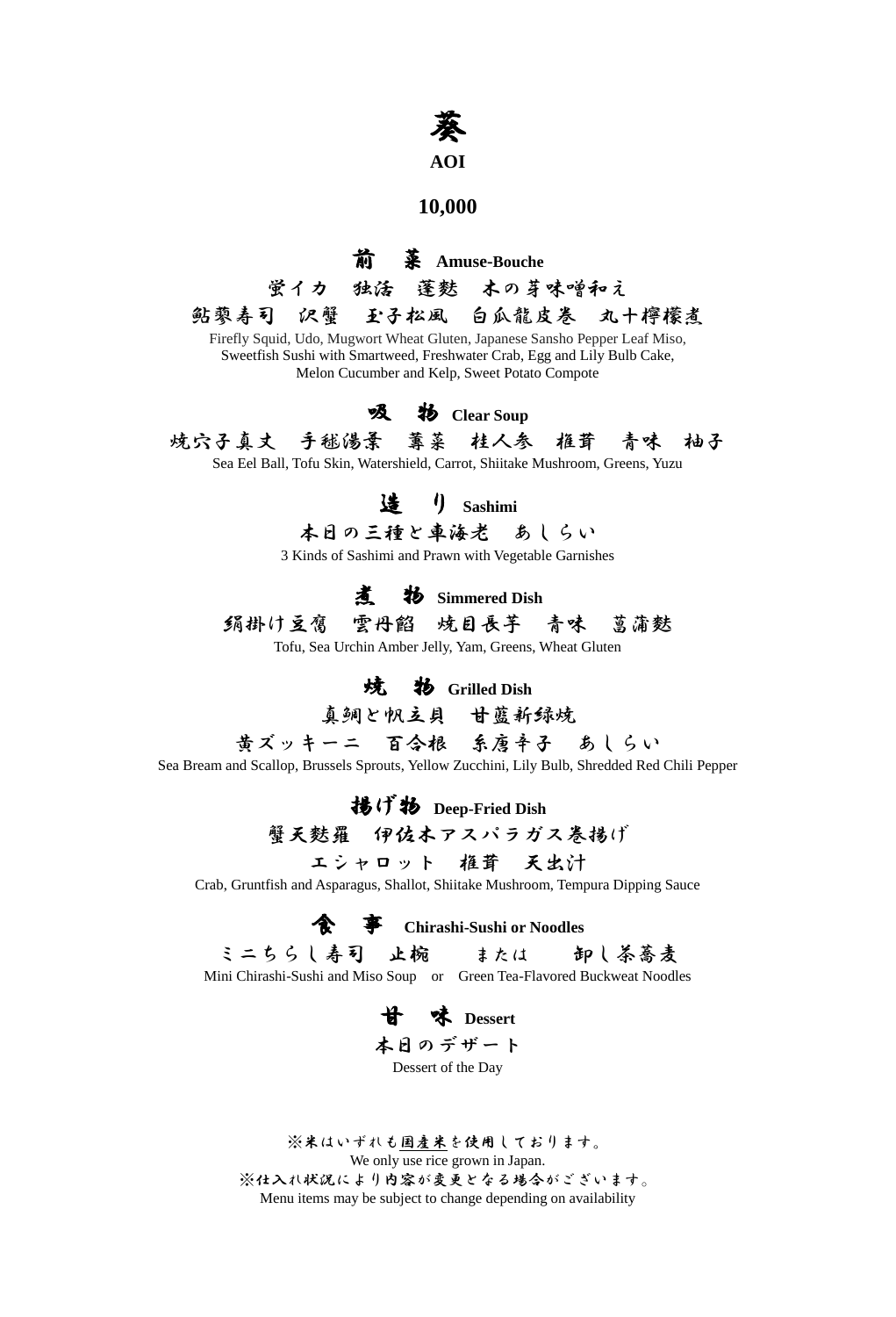# 葵

#### **AOI**

#### **10,000**

### 前 菜 **Amuse-Bouche**

蛍イカ 独活 蓬麩 木の芽味噌和え

鮎蓼寿司 沢蟹 玉子松風 白瓜龍皮巻 丸十檸檬煮 Firefly Squid, Udo, Mugwort Wheat Gluten, Japanese Sansho Pepper Leaf Miso, Sweetfish Sushi with Smartweed, Freshwater Crab, Egg and Lily Bulb Cake,

Melon Cucumber and Kelp, Sweet Potato Compote

#### 吸 物 **Clear Soup**

焼穴子真丈 手毬湯葉 蓴菜 桂人参 椎茸 青味 柚子

Sea Eel Ball, Tofu Skin, Watershield, Carrot, Shiitake Mushroom, Greens, Yuzu

## 造 り **Sashimi**

本日の三種と車海老 あしらい

3 Kinds of Sashimi and Prawn with Vegetable Garnishes

## 煮 物 **Simmered Dish**

絹掛け豆腐 雲丹餡 焼目長芋 青味 菖蒲麩

Tofu, Sea Urchin Amber Jelly, Yam, Greens, Wheat Gluten

## 焼 物 **Grilled Dish**

真鯛と帆立貝 甘藍新緑焼

黄ズッキーニ 百合根 糸唐辛子 あしらい

Sea Bream and Scallop, Brussels Sprouts, Yellow Zucchini, Lily Bulb, Shredded Red Chili Pepper

揚げ物 **Deep-Fried Dish**

## 蟹天麩羅 伊佐木アスパラガス巻揚げ

エシャロット 椎茸 天出汁

Crab, Gruntfish and Asparagus, Shallot, Shiitake Mushroom, Tempura Dipping Sauce

食 事 **Chirashi-Sushi or Noodles**

ミニちらし寿司 止椀 または 卸し茶蕎麦

Mini Chirashi-Sushi and Miso Soup or Green Tea-Flavored Buckweat Noodles

甘 味 **Dessert** 本日のデザート Dessert of the Day